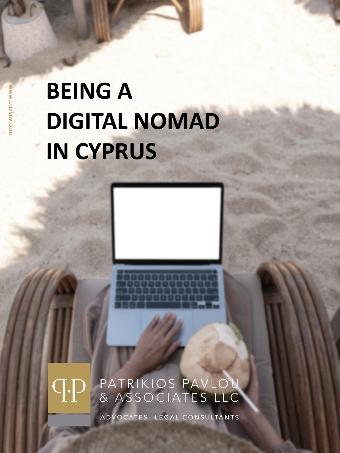## **BEING A DIGITAL NOMAD IN CYPRUS**

### PATRIKIOS PAVLOU<br>& ASSOCIATES LLC  $\mathsf{C}[\centerdot]$

ADVOCATES - LEGAL CONSULTANTS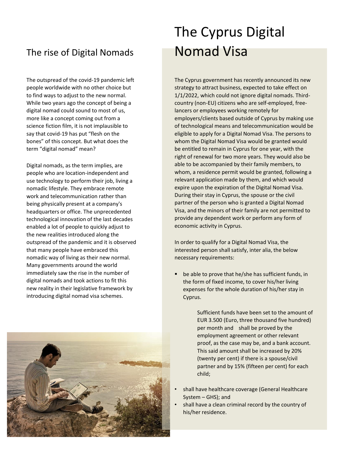#### The rise of Digital Nomads **Nomad Visa**

The outspread of the covid-19 pandemic left people worldwide with no other choice but to find ways to adjust to the new normal. While two years ago the concept of being a digital nomad could sound to most of us, more like a concept coming out from a science fiction film, it is not implausible to say that covid-19 has put "flesh on the bones" of this concept. But what does the term "digital nomad" mean?

Digital nomads, as the term implies, are people who are location-independent and use technology to perform their job, living a nomadic lifestyle. They embrace remote work and telecommunication rather than being physically present at a company's headquarters or office. The unprecedented technological innovation of the last decades enabled a lot of people to quickly adjust to the new realities introduced along the outspread of the pandemic and it is observed that many people have embraced this nomadic way of living as their new normal. Many governments around the world immediately saw the rise in the number of digital nomads and took actions to fit this new reality in their legislative framework by introducing digital nomad visa schemes.



# The Cyprus Digital

The Cyprus government has recently announced its new strategy to attract business, expected to take effect on 1/1/2022, which could not ignore digital nomads. Thirdcountry (non-EU) citizens who are self-employed, freelancers or employees working remotely for employers/clients based outside of Cyprus by making use of technological means and telecommunication would be eligible to apply for a Digital Nomad Visa. The persons to whom the Digital Nomad Visa would be granted would be entitled to remain in Cyprus for one year, with the right of renewal for two more years. They would also be able to be accompanied by their family members, to whom, a residence permit would be granted, following a relevant application made by them, and which would expire upon the expiration of the Digital Nomad Visa. During their stay in Cyprus, the spouse or the civil partner of the person who is granted a Digital Nomad Visa, and the minors of their family are not permitted to provide any dependent work or perform any form of economic activity in Cyprus.

In order to qualify for a Digital Nomad Visa, the interested person shall satisfy, inter alia, the below necessary requirements:

■ be able to prove that he/she has sufficient funds, in the form of fixed income, to cover his/her living expenses for the whole duration of his/her stay in Cyprus.

> Sufficient funds have been set to the amount of EUR 3.500 (Euro, three thousand five hundred) per month and shall be proved by the employment agreement or other relevant proof, as the case may be, and a bank account. This said amount shall be increased by 20% (twenty per cent) if there is a spouse/civil partner and by 15% (fifteen per cent) for each child;

- shall have healthcare coverage (General Healthcare System – GHS); and
- shall have a clean criminal record by the country of his/her residence.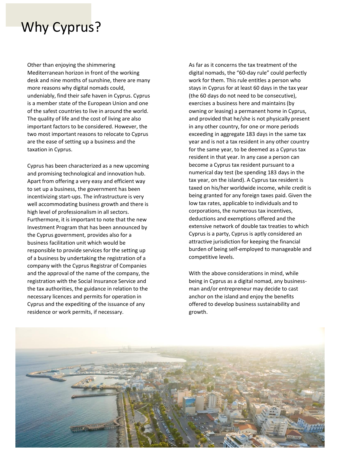### Why Cyprus?

Other than enjoying the shimmering Mediterranean horizon in front of the working desk and nine months of sunshine, there are many more reasons why digital nomads could, undeniably, find their safe haven in Cyprus. Cyprus is a member state of the European Union and one of the safest countries to live in around the world. The quality of life and the cost of living are also important factors to be considered. However, the two most important reasons to relocate to Cyprus are the ease of setting up a business and the taxation in Cyprus.

Cyprus has been characterized as a new upcoming and promising technological and innovation hub. Apart from offering a very easy and efficient way to set up a business, the government has been incentivizing start-ups. The infrastructure is very well accommodating business growth and there is high level of professionalism in all sectors. Furthermore, it is important to note that the new Investment Program that has been announced by the Cyprus government, provides also for a business facilitation unit which would be responsible to provide services for the setting up of a business by undertaking the registration of a company with the Cyprus Registrar of Companies and the approval of the name of the company, the registration with the Social Insurance Service and the tax authorities, the guidance in relation to the necessary licences and permits for operation in Cyprus and the expediting of the issuance of any residence or work permits, if necessary.

As far as it concerns the tax treatment of the digital nomads, the "60-day rule" could perfectly work for them. This rule entitles a person who stays in Cyprus for at least 60 days in the tax year (the 60 days do not need to be consecutive), exercises a business here and maintains (by owning or leasing) a permanent home in Cyprus, and provided that he/she is not physically present in any other country, for one or more periods exceeding in aggregate 183 days in the same tax year and is not a tax resident in any other country for the same year, to be deemed as a Cyprus tax resident in that year. In any case a person can become a Cyprus tax resident pursuant to a numerical day test (be spending 183 days in the tax year, on the island). A Cyprus tax resident is taxed on his/her worldwide income, while credit is being granted for any foreign taxes paid. Given the low tax rates, applicable to individuals and to corporations, the numerous tax incentives, deductions and exemptions offered and the extensive network of double tax treaties to which Cyprus is a party, Cyprus is aptly considered an attractive jurisdiction for keeping the financial burden of being self-employed to manageable and competitive levels.

With the above considerations in mind, while being in Cyprus as a digital nomad, any businessman and/or entrepreneur may decide to cast anchor on the island and enjoy the benefits offered to develop business sustainability and growth.